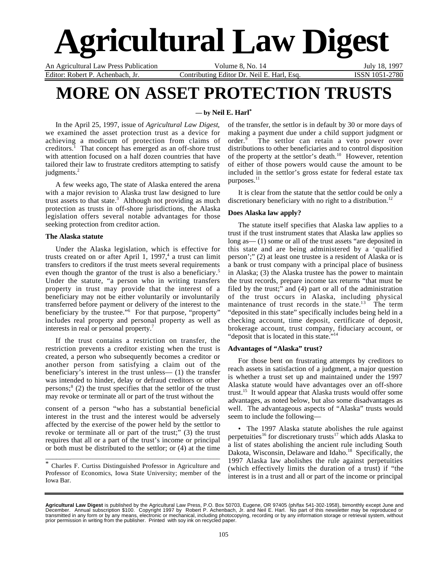# **Agricultural Law Digest**

An Agricultural Law Press Publication Volume 8, No. 14 July 18, 1997

Editor: Robert P. Achenbach, Jr. Contributing Editor Dr. Neil E. Harl, Esq. ISSN 1051-2780

## **MORE ON ASSET PROTECTION TRUSTS**

#### **— by Neil E. Harl\***

In the April 25, 1997, issue of *Agricultural Law Digest*, we examined the asset protection trust as a device for achieving a modicum of protection from claims of creditors.<sup>1</sup> That concept has emerged as an off-shore trust with attention focused on a half dozen countries that have tailored their law to frustrate creditors attempting to satisfy judgments.<sup>2</sup>

A few weeks ago, The state of Alaska entered the arena with a major revision to Alaska trust law designed to lure trust assets to that state.<sup>3</sup> Although not providing as much protection as trusts in off-shore jurisdictions, the Alaska legislation offers several notable advantages for those seeking protection from creditor action.

#### **The Alaska statute**

Under the Alaska legislation, which is effective for trusts created on or after April 1, 1997,<sup>4</sup> a trust can limit transfers to creditors if the trust meets several requirements even though the grantor of the trust is also a beneficiary.<sup>5</sup> Under the statute, "a person who in writing transfers property in trust may provide that the interest of a beneficiary may not be either voluntarily or involuntarily transferred before payment or delivery of the interest to the beneficiary by the trustee."<sup>6</sup> For that purpose, "property" includes real property and personal property as well as interests in real or personal property.7

If the trust contains a restriction on transfer, the restriction prevents a creditor existing when the trust is created, a person who subsequently becomes a creditor or another person from satisfying a claim out of the beneficiary's interest in the trust unless— (1) the transfer was intended to hinder, delay or defraud creditors or other persons;<sup>8</sup> (2) the trust specifies that the settlor of the trust may revoke or terminate all or part of the trust without the

consent of a person "who has a substantial beneficial interest in the trust and the interest would be adversely affected by the exercise of the power held by the settlor to revoke or terminate all or part of the trust;" (3) the trust requires that all or a part of the trust's income or principal or both must be distributed to the settlor; or (4) at the time

\* Charles F. Curtiss Distinguished Professor in Agriculture and Professor of Economics, Iowa State University; member of the Iowa Bar.

\_\_\_\_\_\_\_\_\_\_\_\_\_\_\_\_\_\_\_\_\_\_\_\_\_\_\_\_\_\_\_\_\_\_\_\_\_\_\_\_\_\_\_\_\_\_\_\_\_\_\_\_\_

of the transfer, the settlor is in default by 30 or more days of making a payment due under a child support judgment or order.<sup>9</sup> The settlor can retain a veto power over distributions to other beneficiaries and to control disposition of the property at the settlor's death.<sup>10</sup> However, retention of either of those powers would cause the amount to be included in the settlor's gross estate for federal estate tax purposes.<sup>11</sup>

It is clear from the statute that the settlor could be only a discretionary beneficiary with no right to a distribution.<sup>12</sup>

#### **Does Alaska law apply?**

The statute itself specifies that Alaska law applies to a trust if the trust instrument states that Alaska law applies so long as— (1) some or all of the trust assets "are deposited in this state and are being administered by a 'qualified person';" (2) at least one trustee is a resident of Alaska or is a bank or trust company with a principal place of business in Alaska; (3) the Alaska trustee has the power to maintain the trust records, prepare income tax returns "that must be filed by the trust;" and (4) part or all of the administration of the trust occurs in Alaska, including physical maintenance of trust records in the state.<sup>13</sup> The term "deposited in this state" specifically includes being held in a checking account, time deposit, certificate of deposit, brokerage account, trust company, fiduciary account, or "deposit that is located in this state."

#### **Advantages of "Alaska" trust?**

For those bent on frustrating attempts by creditors to reach assets in satisfaction of a judgment, a major question is whether a trust set up and maintained under the 1997 Alaska statute would have advantages over an off-shore trust.15 It would appear that Alaska trusts would offer some advantages, as noted below, but also some disadvantages as well. The advantageous aspects of "Alaska" trusts would seem to include the following—

• The 1997 Alaska statute abolishes the rule against perpetuities<sup>16</sup> for discretionary trusts<sup>17</sup> which adds Alaska to a list of states abolishing the ancient rule including South Dakota, Wisconsin, Delaware and Idaho.<sup>18</sup> Specifically, the 1997 Alaska law abolishes the rule against perpetuities (which effectively limits the duration of a trust) if "the interest is in a trust and all or part of the income or principal

**Agricultural Law Digest** is published by the Agricultural Law Press, P.O. Box 50703, Eugene, OR 97405 (ph/fax 541-302-1958), bimonthly except June and<br>December. Annual subscription \$100. Copyright 1997 by Robert P. Achenb transmitted in any form or by any means, electronic or mechanical, including photocopying, recording or by any information storage or retrieval system, without<br>prior permission in writing from the publisher. Printed with